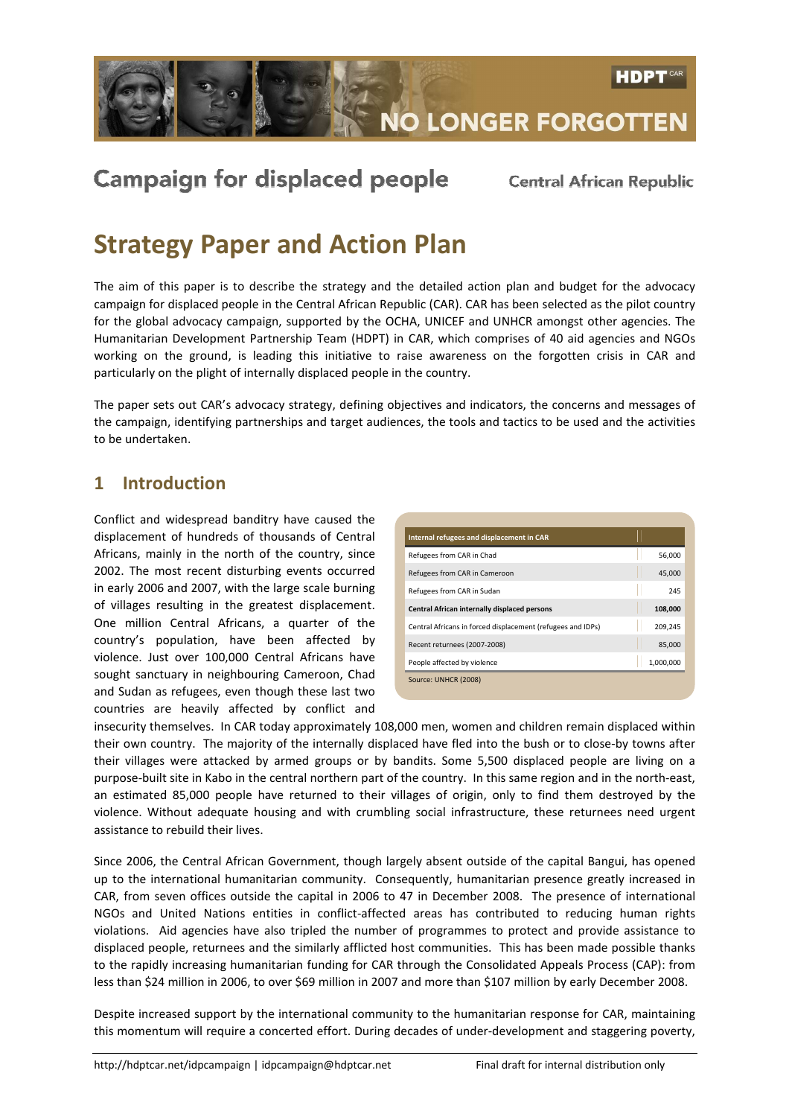

# **Campaign for displaced people**

**Central African Republic** 

# Strategy Paper and Action Plan

The aim of this paper is to describe the strategy and the detailed action plan and budget for the advocacy campaign for displaced people in the Central African Republic (CAR). CAR has been selected as the pilot country for the global advocacy campaign, supported by the OCHA, UNICEF and UNHCR amongst other agencies. The Humanitarian Development Partnership Team (HDPT) in CAR, which comprises of 40 aid agencies and NGOs working on the ground, is leading this initiative to raise awareness on the forgotten crisis in CAR and particularly on the plight of internally displaced people in the country.

The paper sets out CAR's advocacy strategy, defining objectives and indicators, the concerns and messages of the campaign, identifying partnerships and target audiences, the tools and tactics to be used and the activities to be undertaken.

### 1 Introduction

Conflict and widespread banditry have caused the displacement of hundreds of thousands of Central Africans, mainly in the north of the country, since 2002. The most recent disturbing events occurred in early 2006 and 2007, with the large scale burning of villages resulting in the greatest displacement. One million Central Africans, a quarter of the country's population, have been affected by violence. Just over 100,000 Central Africans have sought sanctuary in neighbouring Cameroon, Chad and Sudan as refugees, even though these last two countries are heavily affected by conflict and

| Internal refugees and displacement in CAR                   |           |
|-------------------------------------------------------------|-----------|
| Refugees from CAR in Chad                                   | 56.000    |
| Refugees from CAR in Cameroon                               | 45,000    |
| Refugees from CAR in Sudan                                  | 245       |
| Central African internally displaced persons                | 108,000   |
| Central Africans in forced displacement (refugees and IDPs) | 209,245   |
| Recent returnees (2007-2008)                                | 85,000    |
| People affected by violence                                 | 1,000,000 |
| Source: UNHCR (2008)                                        |           |

insecurity themselves. In CAR today approximately 108,000 men, women and children remain displaced within their own country. The majority of the internally displaced have fled into the bush or to close-by towns after their villages were attacked by armed groups or by bandits. Some 5,500 displaced people are living on a purpose-built site in Kabo in the central northern part of the country. In this same region and in the north-east, an estimated 85,000 people have returned to their villages of origin, only to find them destroyed by the violence. Without adequate housing and with crumbling social infrastructure, these returnees need urgent assistance to rebuild their lives.

Since 2006, the Central African Government, though largely absent outside of the capital Bangui, has opened up to the international humanitarian community. Consequently, humanitarian presence greatly increased in CAR, from seven offices outside the capital in 2006 to 47 in December 2008. The presence of international NGOs and United Nations entities in conflict-affected areas has contributed to reducing human rights violations. Aid agencies have also tripled the number of programmes to protect and provide assistance to displaced people, returnees and the similarly afflicted host communities. This has been made possible thanks to the rapidly increasing humanitarian funding for CAR through the Consolidated Appeals Process (CAP): from less than \$24 million in 2006, to over \$69 million in 2007 and more than \$107 million by early December 2008.

Despite increased support by the international community to the humanitarian response for CAR, maintaining this momentum will require a concerted effort. During decades of under-development and staggering poverty,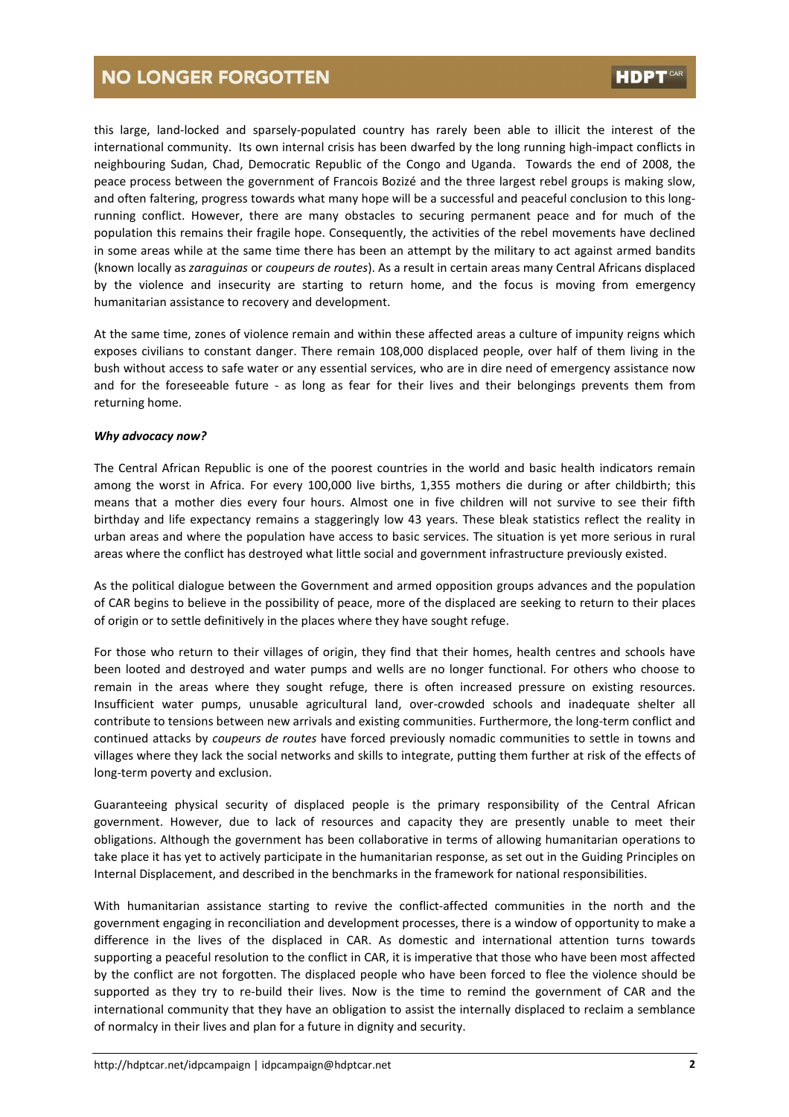this large, land-locked and sparsely-populated country has rarely been able to illicit the interest of the international community. Its own internal crisis has been dwarfed by the long running high-impact conflicts in neighbouring Sudan, Chad, Democratic Republic of the Congo and Uganda. Towards the end of 2008, the peace process between the government of Francois Bozizé and the three largest rebel groups is making slow, and often faltering, progress towards what many hope will be a successful and peaceful conclusion to this longrunning conflict. However, there are many obstacles to securing permanent peace and for much of the population this remains their fragile hope. Consequently, the activities of the rebel movements have declined in some areas while at the same time there has been an attempt by the military to act against armed bandits (known locally as zaraguinas or coupeurs de routes). As a result in certain areas many Central Africans displaced by the violence and insecurity are starting to return home, and the focus is moving from emergency humanitarian assistance to recovery and development.

At the same time, zones of violence remain and within these affected areas a culture of impunity reigns which exposes civilians to constant danger. There remain 108,000 displaced people, over half of them living in the bush without access to safe water or any essential services, who are in dire need of emergency assistance now and for the foreseeable future - as long as fear for their lives and their belongings prevents them from returning home.

#### Why advocacy now?

The Central African Republic is one of the poorest countries in the world and basic health indicators remain among the worst in Africa. For every 100,000 live births, 1,355 mothers die during or after childbirth; this means that a mother dies every four hours. Almost one in five children will not survive to see their fifth birthday and life expectancy remains a staggeringly low 43 years. These bleak statistics reflect the reality in urban areas and where the population have access to basic services. The situation is yet more serious in rural areas where the conflict has destroyed what little social and government infrastructure previously existed.

As the political dialogue between the Government and armed opposition groups advances and the population of CAR begins to believe in the possibility of peace, more of the displaced are seeking to return to their places of origin or to settle definitively in the places where they have sought refuge.

For those who return to their villages of origin, they find that their homes, health centres and schools have been looted and destroyed and water pumps and wells are no longer functional. For others who choose to remain in the areas where they sought refuge, there is often increased pressure on existing resources. Insufficient water pumps, unusable agricultural land, over-crowded schools and inadequate shelter all contribute to tensions between new arrivals and existing communities. Furthermore, the long-term conflict and continued attacks by coupeurs de routes have forced previously nomadic communities to settle in towns and villages where they lack the social networks and skills to integrate, putting them further at risk of the effects of long-term poverty and exclusion.

Guaranteeing physical security of displaced people is the primary responsibility of the Central African government. However, due to lack of resources and capacity they are presently unable to meet their obligations. Although the government has been collaborative in terms of allowing humanitarian operations to take place it has yet to actively participate in the humanitarian response, as set out in the Guiding Principles on Internal Displacement, and described in the benchmarks in the framework for national responsibilities.

With humanitarian assistance starting to revive the conflict-affected communities in the north and the government engaging in reconciliation and development processes, there is a window of opportunity to make a difference in the lives of the displaced in CAR. As domestic and international attention turns towards supporting a peaceful resolution to the conflict in CAR, it is imperative that those who have been most affected by the conflict are not forgotten. The displaced people who have been forced to flee the violence should be supported as they try to re-build their lives. Now is the time to remind the government of CAR and the international community that they have an obligation to assist the internally displaced to reclaim a semblance of normalcy in their lives and plan for a future in dignity and security.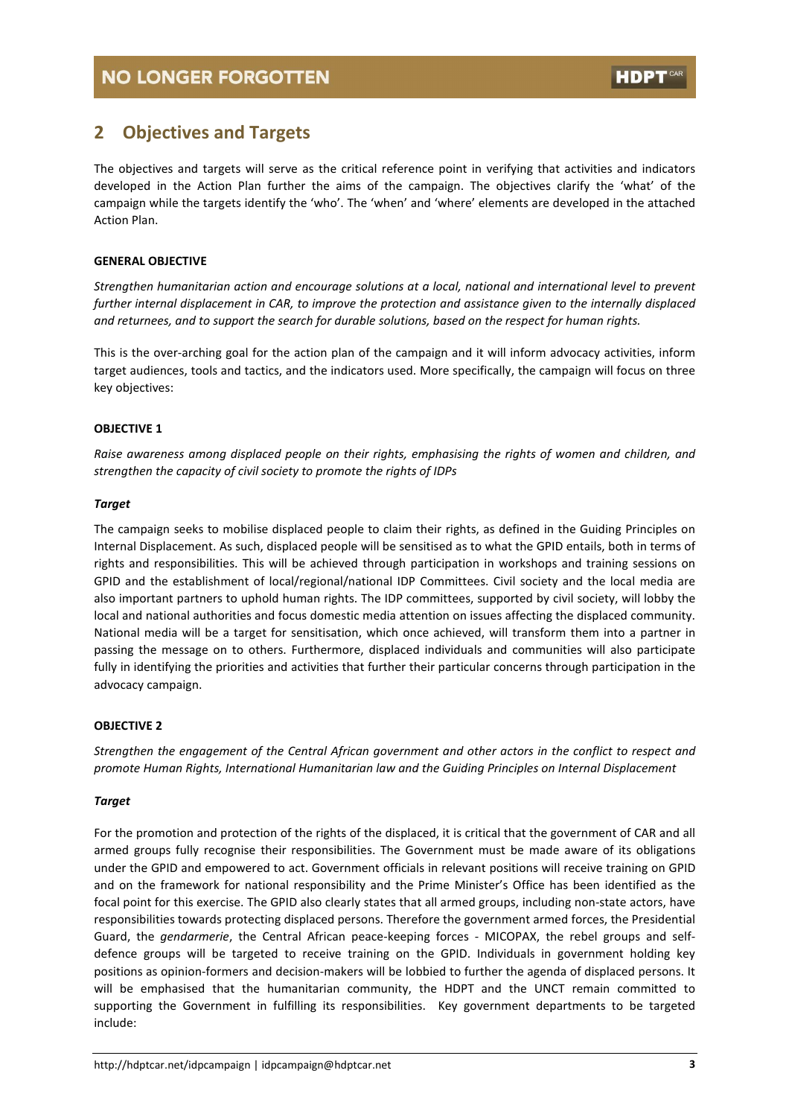### 2 Objectives and Targets

The objectives and targets will serve as the critical reference point in verifying that activities and indicators developed in the Action Plan further the aims of the campaign. The objectives clarify the 'what' of the campaign while the targets identify the 'who'. The 'when' and 'where' elements are developed in the attached Action Plan.

#### GENERAL OBJECTIVE

Strengthen humanitarian action and encourage solutions at a local, national and international level to prevent further internal displacement in CAR, to improve the protection and assistance given to the internally displaced and returnees, and to support the search for durable solutions, based on the respect for human rights.

This is the over-arching goal for the action plan of the campaign and it will inform advocacy activities, inform target audiences, tools and tactics, and the indicators used. More specifically, the campaign will focus on three key objectives:

#### OBJECTIVE 1

Raise awareness among displaced people on their rights, emphasising the rights of women and children, and strengthen the capacity of civil society to promote the rights of IDPs

#### Target

The campaign seeks to mobilise displaced people to claim their rights, as defined in the Guiding Principles on Internal Displacement. As such, displaced people will be sensitised as to what the GPID entails, both in terms of rights and responsibilities. This will be achieved through participation in workshops and training sessions on GPID and the establishment of local/regional/national IDP Committees. Civil society and the local media are also important partners to uphold human rights. The IDP committees, supported by civil society, will lobby the local and national authorities and focus domestic media attention on issues affecting the displaced community. National media will be a target for sensitisation, which once achieved, will transform them into a partner in passing the message on to others. Furthermore, displaced individuals and communities will also participate fully in identifying the priorities and activities that further their particular concerns through participation in the advocacy campaign.

#### OBJECTIVE 2

Strengthen the engagement of the Central African government and other actors in the conflict to respect and promote Human Rights, International Humanitarian law and the Guiding Principles on Internal Displacement

#### Target

For the promotion and protection of the rights of the displaced, it is critical that the government of CAR and all armed groups fully recognise their responsibilities. The Government must be made aware of its obligations under the GPID and empowered to act. Government officials in relevant positions will receive training on GPID and on the framework for national responsibility and the Prime Minister's Office has been identified as the focal point for this exercise. The GPID also clearly states that all armed groups, including non-state actors, have responsibilities towards protecting displaced persons. Therefore the government armed forces, the Presidential Guard, the gendarmerie, the Central African peace-keeping forces - MICOPAX, the rebel groups and selfdefence groups will be targeted to receive training on the GPID. Individuals in government holding key positions as opinion-formers and decision-makers will be lobbied to further the agenda of displaced persons. It will be emphasised that the humanitarian community, the HDPT and the UNCT remain committed to supporting the Government in fulfilling its responsibilities. Key government departments to be targeted include: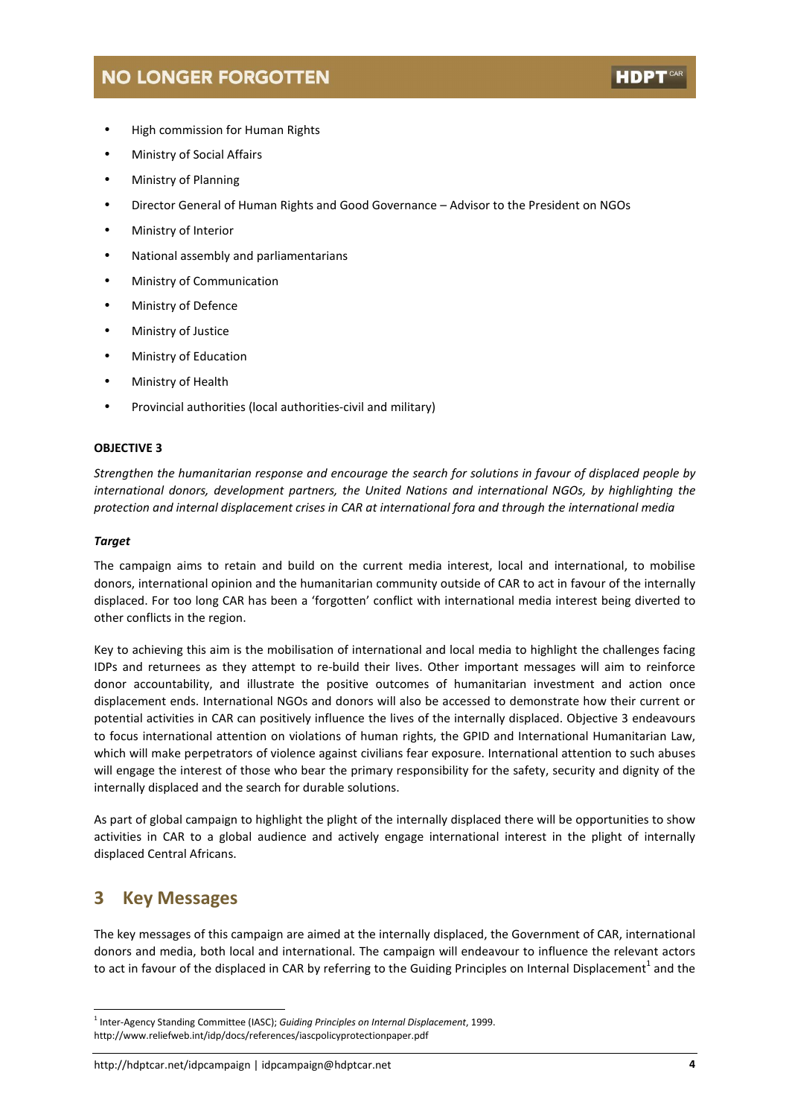- High commission for Human Rights
- Ministry of Social Affairs
- Ministry of Planning
- Director General of Human Rights and Good Governance Advisor to the President on NGOs
- Ministry of Interior
- National assembly and parliamentarians
- Ministry of Communication
- Ministry of Defence
- Ministry of Justice
- Ministry of Education
- Ministry of Health
- Provincial authorities (local authorities-civil and military)

#### OBJECTIVE 3

Strengthen the humanitarian response and encourage the search for solutions in favour of displaced people by international donors, development partners, the United Nations and international NGOs, by highlighting the protection and internal displacement crises in CAR at international fora and through the international media

#### Target

The campaign aims to retain and build on the current media interest, local and international, to mobilise donors, international opinion and the humanitarian community outside of CAR to act in favour of the internally displaced. For too long CAR has been a 'forgotten' conflict with international media interest being diverted to other conflicts in the region.

Key to achieving this aim is the mobilisation of international and local media to highlight the challenges facing IDPs and returnees as they attempt to re-build their lives. Other important messages will aim to reinforce donor accountability, and illustrate the positive outcomes of humanitarian investment and action once displacement ends. International NGOs and donors will also be accessed to demonstrate how their current or potential activities in CAR can positively influence the lives of the internally displaced. Objective 3 endeavours to focus international attention on violations of human rights, the GPID and International Humanitarian Law, which will make perpetrators of violence against civilians fear exposure. International attention to such abuses will engage the interest of those who bear the primary responsibility for the safety, security and dignity of the internally displaced and the search for durable solutions.

As part of global campaign to highlight the plight of the internally displaced there will be opportunities to show activities in CAR to a global audience and actively engage international interest in the plight of internally displaced Central Africans.

### 3 Key Messages

 $\overline{a}$ 

The key messages of this campaign are aimed at the internally displaced, the Government of CAR, international donors and media, both local and international. The campaign will endeavour to influence the relevant actors to act in favour of the displaced in CAR by referring to the Guiding Principles on Internal Displacement<sup>1</sup> and the

<sup>&</sup>lt;sup>1</sup> Inter-Agency Standing Committee (IASC); Guiding Principles on Internal Displacement, 1999. http://www.reliefweb.int/idp/docs/references/iascpolicyprotectionpaper.pdf

http://hdptcar.net/idpcampaign | idpcampaign@hdptcar.net 4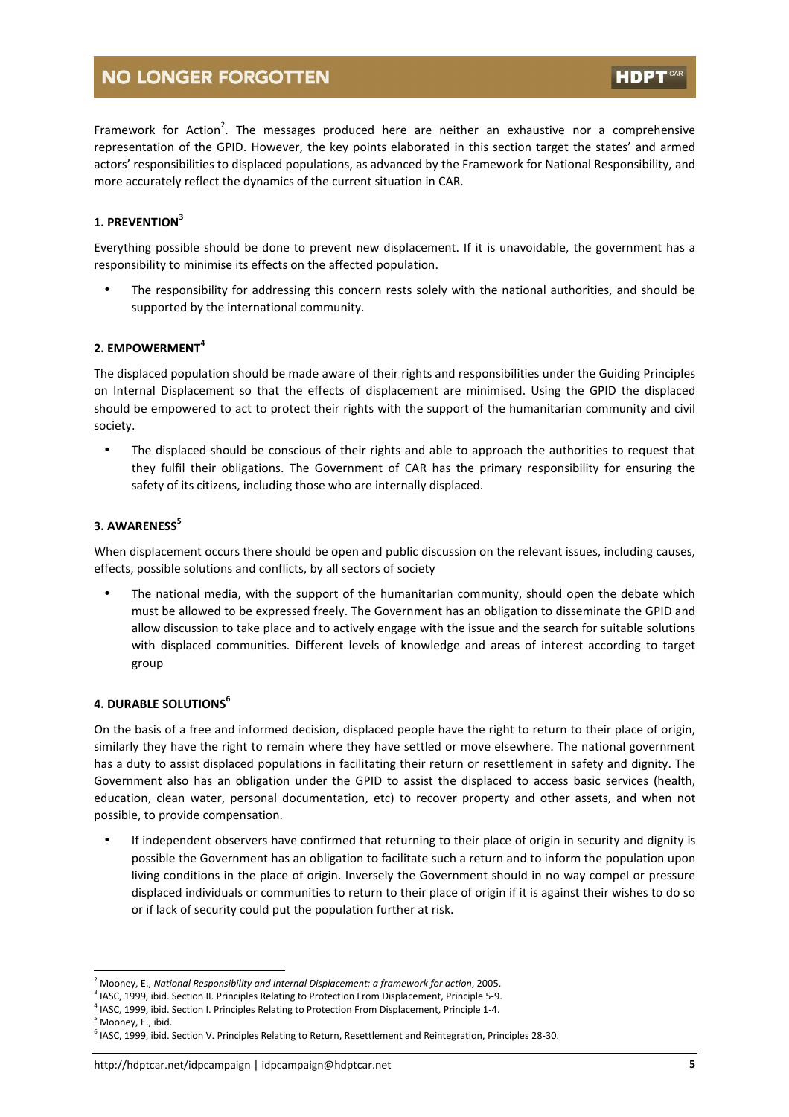Framework for Action<sup>2</sup>. The messages produced here are neither an exhaustive nor a comprehensive representation of the GPID. However, the key points elaborated in this section target the states' and armed actors' responsibilities to displaced populations, as advanced by the Framework for National Responsibility, and more accurately reflect the dynamics of the current situation in CAR.

#### 1. PREVENTION<sup>3</sup>

Everything possible should be done to prevent new displacement. If it is unavoidable, the government has a responsibility to minimise its effects on the affected population.

The responsibility for addressing this concern rests solely with the national authorities, and should be supported by the international community.

#### 2. EMPOWERMENT<sup>4</sup>

The displaced population should be made aware of their rights and responsibilities under the Guiding Principles on Internal Displacement so that the effects of displacement are minimised. Using the GPID the displaced should be empowered to act to protect their rights with the support of the humanitarian community and civil society.

• The displaced should be conscious of their rights and able to approach the authorities to request that they fulfil their obligations. The Government of CAR has the primary responsibility for ensuring the safety of its citizens, including those who are internally displaced.

#### 3. AWARENESS<sup>5</sup>

When displacement occurs there should be open and public discussion on the relevant issues, including causes, effects, possible solutions and conflicts, by all sectors of society

The national media, with the support of the humanitarian community, should open the debate which must be allowed to be expressed freely. The Government has an obligation to disseminate the GPID and allow discussion to take place and to actively engage with the issue and the search for suitable solutions with displaced communities. Different levels of knowledge and areas of interest according to target group

#### 4. DURABLE SOLUTIONS<sup>6</sup>

On the basis of a free and informed decision, displaced people have the right to return to their place of origin, similarly they have the right to remain where they have settled or move elsewhere. The national government has a duty to assist displaced populations in facilitating their return or resettlement in safety and dignity. The Government also has an obligation under the GPID to assist the displaced to access basic services (health, education, clean water, personal documentation, etc) to recover property and other assets, and when not possible, to provide compensation.

• If independent observers have confirmed that returning to their place of origin in security and dignity is possible the Government has an obligation to facilitate such a return and to inform the population upon living conditions in the place of origin. Inversely the Government should in no way compel or pressure displaced individuals or communities to return to their place of origin if it is against their wishes to do so or if lack of security could put the population further at risk.

 $\overline{a}$  $^2$  Mooney, E., National Responsibility and Internal Displacement: a framework for action, 2005.

<sup>&</sup>lt;sup>3</sup> IASC, 1999, ibid. Section II. Principles Relating to Protection From Displacement, Principle 5-9.

<sup>&</sup>lt;sup>4</sup> IASC, 1999, ibid. Section I. Principles Relating to Protection From Displacement, Principle 1-4.

<sup>&</sup>lt;sup>5</sup> Mooney, E., ibid.

<sup>&</sup>lt;sup>6</sup> IASC, 1999, ibid. Section V. Principles Relating to Return, Resettlement and Reintegration, Principles 28-30.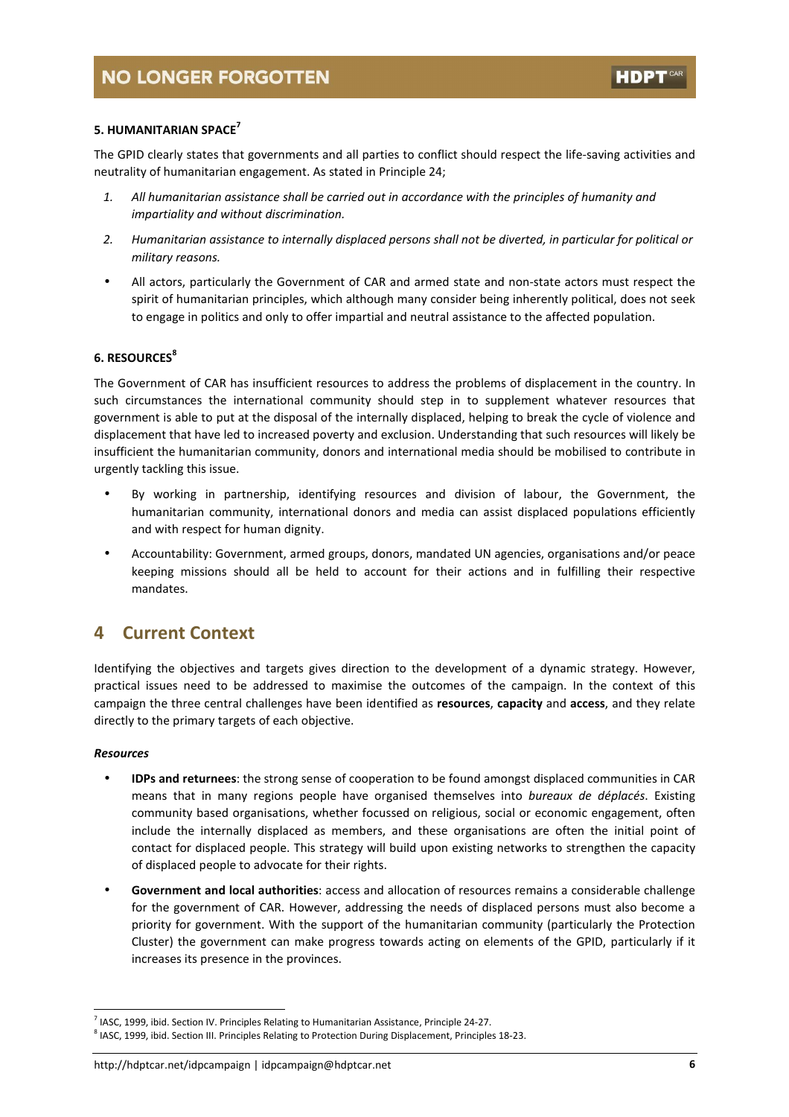#### 5. HUMANITARIAN SPACE<sup>7</sup>

The GPID clearly states that governments and all parties to conflict should respect the life-saving activities and neutrality of humanitarian engagement. As stated in Principle 24;

- 1. All humanitarian assistance shall be carried out in accordance with the principles of humanity and impartiality and without discrimination.
- 2. Humanitarian assistance to internally displaced persons shall not be diverted, in particular for political or military reasons.
- All actors, particularly the Government of CAR and armed state and non-state actors must respect the spirit of humanitarian principles, which although many consider being inherently political, does not seek to engage in politics and only to offer impartial and neutral assistance to the affected population.

#### 6. RESOURCES<sup>8</sup>

The Government of CAR has insufficient resources to address the problems of displacement in the country. In such circumstances the international community should step in to supplement whatever resources that government is able to put at the disposal of the internally displaced, helping to break the cycle of violence and displacement that have led to increased poverty and exclusion. Understanding that such resources will likely be insufficient the humanitarian community, donors and international media should be mobilised to contribute in urgently tackling this issue.

- By working in partnership, identifying resources and division of labour, the Government, the humanitarian community, international donors and media can assist displaced populations efficiently and with respect for human dignity.
- Accountability: Government, armed groups, donors, mandated UN agencies, organisations and/or peace keeping missions should all be held to account for their actions and in fulfilling their respective mandates.

### 4 Current Context

Identifying the objectives and targets gives direction to the development of a dynamic strategy. However, practical issues need to be addressed to maximise the outcomes of the campaign. In the context of this campaign the three central challenges have been identified as resources, capacity and access, and they relate directly to the primary targets of each objective.

#### Resources

 $\overline{a}$ 

- IDPs and returnees: the strong sense of cooperation to be found amongst displaced communities in CAR means that in many regions people have organised themselves into bureaux de déplacés. Existing community based organisations, whether focussed on religious, social or economic engagement, often include the internally displaced as members, and these organisations are often the initial point of contact for displaced people. This strategy will build upon existing networks to strengthen the capacity of displaced people to advocate for their rights.
- Government and local authorities: access and allocation of resources remains a considerable challenge for the government of CAR. However, addressing the needs of displaced persons must also become a priority for government. With the support of the humanitarian community (particularly the Protection Cluster) the government can make progress towards acting on elements of the GPID, particularly if it increases its presence in the provinces.

<sup>&</sup>lt;sup>7</sup> IASC, 1999, ibid. Section IV. Principles Relating to Humanitarian Assistance, Principle 24-27.

<sup>&</sup>lt;sup>8</sup> IASC, 1999, ibid. Section III. Principles Relating to Protection During Displacement, Principles 18-23.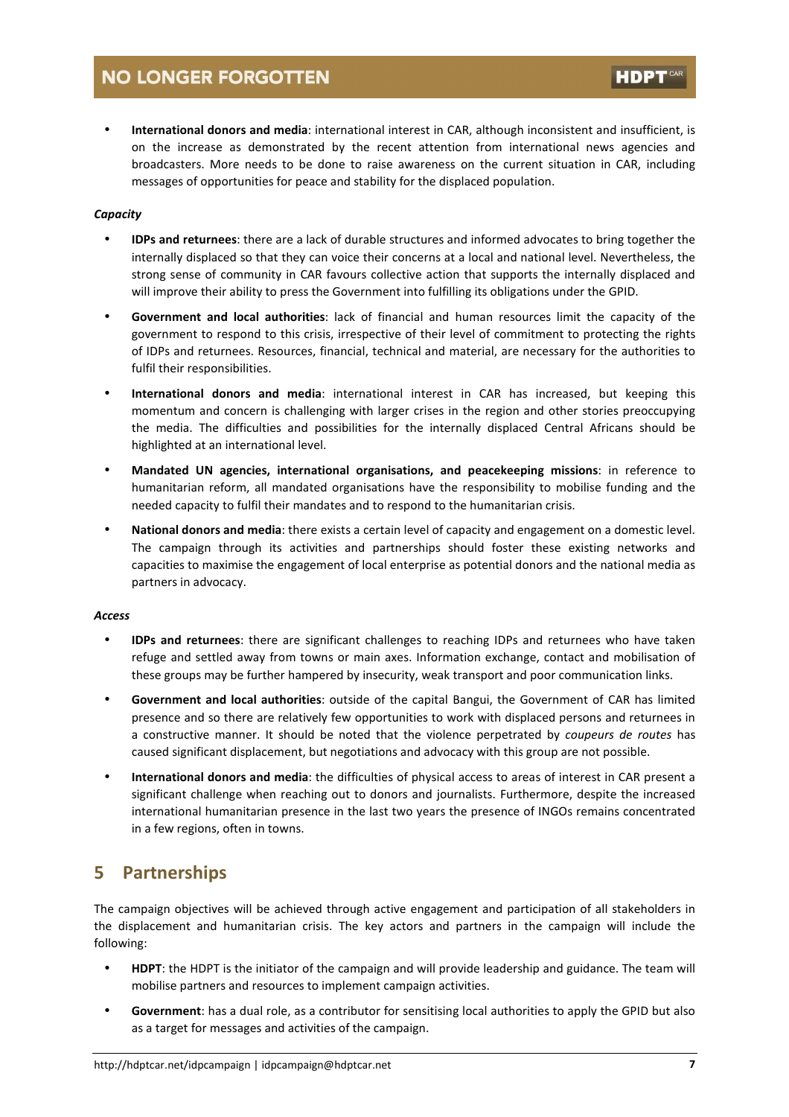International donors and media: international interest in CAR, although inconsistent and insufficient, is on the increase as demonstrated by the recent attention from international news agencies and broadcasters. More needs to be done to raise awareness on the current situation in CAR, including messages of opportunities for peace and stability for the displaced population.

#### **Capacity**

- IDPs and returnees: there are a lack of durable structures and informed advocates to bring together the internally displaced so that they can voice their concerns at a local and national level. Nevertheless, the strong sense of community in CAR favours collective action that supports the internally displaced and will improve their ability to press the Government into fulfilling its obligations under the GPID.
- Government and local authorities: lack of financial and human resources limit the capacity of the government to respond to this crisis, irrespective of their level of commitment to protecting the rights of IDPs and returnees. Resources, financial, technical and material, are necessary for the authorities to fulfil their responsibilities.
- International donors and media: international interest in CAR has increased, but keeping this momentum and concern is challenging with larger crises in the region and other stories preoccupying the media. The difficulties and possibilities for the internally displaced Central Africans should be highlighted at an international level.
- Mandated UN agencies, international organisations, and peacekeeping missions: in reference to humanitarian reform, all mandated organisations have the responsibility to mobilise funding and the needed capacity to fulfil their mandates and to respond to the humanitarian crisis.
- National donors and media: there exists a certain level of capacity and engagement on a domestic level. The campaign through its activities and partnerships should foster these existing networks and capacities to maximise the engagement of local enterprise as potential donors and the national media as partners in advocacy.

#### Access

- IDPs and returnees: there are significant challenges to reaching IDPs and returnees who have taken refuge and settled away from towns or main axes. Information exchange, contact and mobilisation of these groups may be further hampered by insecurity, weak transport and poor communication links.
- Government and local authorities: outside of the capital Bangui, the Government of CAR has limited presence and so there are relatively few opportunities to work with displaced persons and returnees in a constructive manner. It should be noted that the violence perpetrated by coupeurs de routes has caused significant displacement, but negotiations and advocacy with this group are not possible.
- International donors and media: the difficulties of physical access to areas of interest in CAR present a significant challenge when reaching out to donors and journalists. Furthermore, despite the increased international humanitarian presence in the last two years the presence of INGOs remains concentrated in a few regions, often in towns.

### 5 Partnerships

The campaign objectives will be achieved through active engagement and participation of all stakeholders in the displacement and humanitarian crisis. The key actors and partners in the campaign will include the following:

- HDPT: the HDPT is the initiator of the campaign and will provide leadership and guidance. The team will mobilise partners and resources to implement campaign activities.
- Government: has a dual role, as a contributor for sensitising local authorities to apply the GPID but also as a target for messages and activities of the campaign.

HDP<sup>1</sup>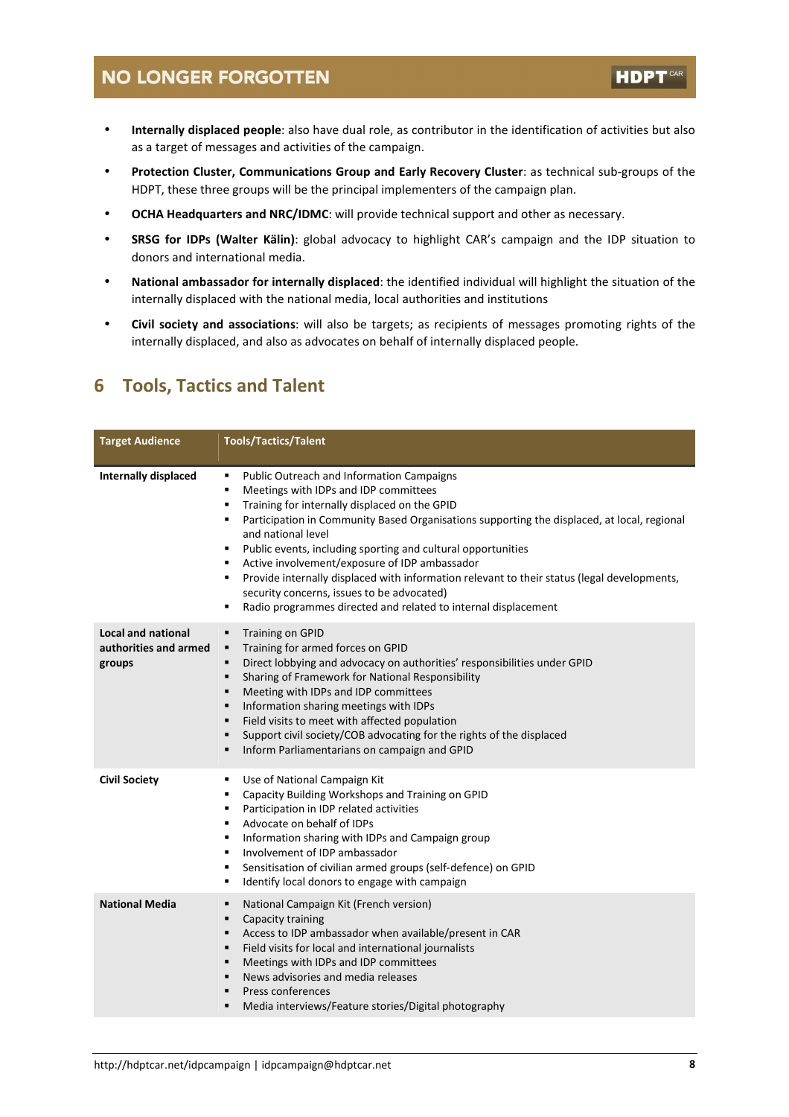• Internally displaced people: also have dual role, as contributor in the identification of activities but also as a target of messages and activities of the campaign.

**HDPT** 

- Protection Cluster, Communications Group and Early Recovery Cluster: as technical sub-groups of the HDPT, these three groups will be the principal implementers of the campaign plan.
- OCHA Headquarters and NRC/IDMC: will provide technical support and other as necessary.
- **SRSG for IDPs (Walter Kälin)**: global advocacy to highlight CAR's campaign and the IDP situation to donors and international media.
- National ambassador for internally displaced: the identified individual will highlight the situation of the internally displaced with the national media, local authorities and institutions
- Civil society and associations: will also be targets; as recipients of messages promoting rights of the internally displaced, and also as advocates on behalf of internally displaced people.

### 6 Tools, Tactics and Talent

| <b>Target Audience</b>                                       | <b>Tools/Tactics/Talent</b>                                                                                                                                                                                                                                                                                                                                                                                                                                                                                                                                                                                                                   |
|--------------------------------------------------------------|-----------------------------------------------------------------------------------------------------------------------------------------------------------------------------------------------------------------------------------------------------------------------------------------------------------------------------------------------------------------------------------------------------------------------------------------------------------------------------------------------------------------------------------------------------------------------------------------------------------------------------------------------|
| Internally displaced                                         | Public Outreach and Information Campaigns<br>٠<br>Meetings with IDPs and IDP committees<br>٠<br>Training for internally displaced on the GPID<br>٠<br>Participation in Community Based Organisations supporting the displaced, at local, regional<br>$\blacksquare$<br>and national level<br>Public events, including sporting and cultural opportunities<br>٠<br>Active involvement/exposure of IDP ambassador<br>٠<br>Provide internally displaced with information relevant to their status (legal developments,<br>٠<br>security concerns, issues to be advocated)<br>Radio programmes directed and related to internal displacement<br>٠ |
| <b>Local and national</b><br>authorities and armed<br>groups | <b>Training on GPID</b><br>٠<br>Training for armed forces on GPID<br>٠<br>Direct lobbying and advocacy on authorities' responsibilities under GPID<br>$\blacksquare$<br>Sharing of Framework for National Responsibility<br>$\blacksquare$<br>Meeting with IDPs and IDP committees<br>٠<br>Information sharing meetings with IDPs<br>$\blacksquare$<br>Field visits to meet with affected population<br>٠<br>Support civil society/COB advocating for the rights of the displaced<br>٠<br>Inform Parliamentarians on campaign and GPID<br>٠                                                                                                   |
| <b>Civil Society</b>                                         | Use of National Campaign Kit<br>п<br>Capacity Building Workshops and Training on GPID<br>٠<br>Participation in IDP related activities<br>٠<br>Advocate on behalf of IDPs<br>٠<br>Information sharing with IDPs and Campaign group<br>٠<br>Involvement of IDP ambassador<br>$\blacksquare$<br>Sensitisation of civilian armed groups (self-defence) on GPID<br>٠<br>Identify local donors to engage with campaign<br>٠                                                                                                                                                                                                                         |
| <b>National Media</b>                                        | National Campaign Kit (French version)<br>٠<br>Capacity training<br>п<br>Access to IDP ambassador when available/present in CAR<br>п<br>Field visits for local and international journalists<br>п<br>Meetings with IDPs and IDP committees<br>$\blacksquare$<br>News advisories and media releases<br>$\blacksquare$<br>Press conferences<br>п<br>Media interviews/Feature stories/Digital photography<br>п                                                                                                                                                                                                                                   |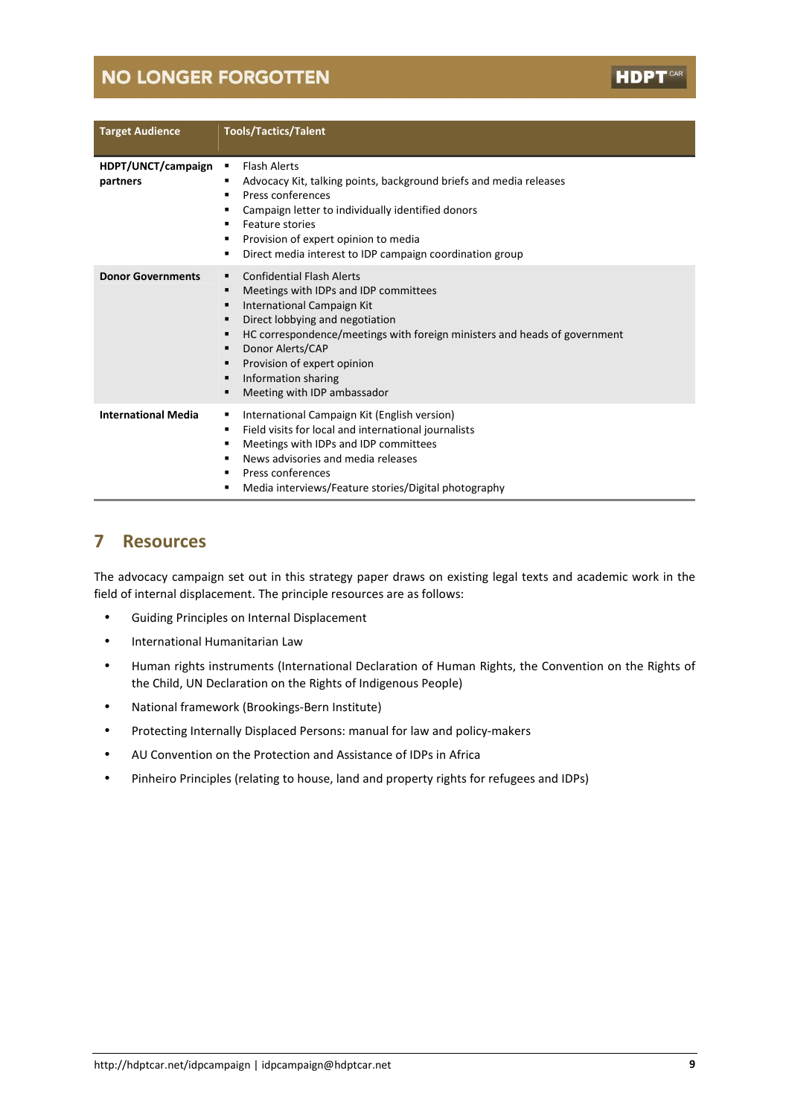| <b>Target Audience</b>         | <b>Tools/Tactics/Talent</b>                                                                                                                                                                                                                                                                                                                                                   |
|--------------------------------|-------------------------------------------------------------------------------------------------------------------------------------------------------------------------------------------------------------------------------------------------------------------------------------------------------------------------------------------------------------------------------|
| HDPT/UNCT/campaign<br>partners | <b>Flash Alerts</b><br>п<br>Advocacy Kit, talking points, background briefs and media releases<br>п<br>Press conferences<br>٠<br>Campaign letter to individually identified donors<br>٠<br>Feature stories<br>п<br>Provision of expert opinion to media<br>п<br>Direct media interest to IDP campaign coordination group<br>п                                                 |
| <b>Donor Governments</b>       | <b>Confidential Flash Alerts</b><br>п<br>Meetings with IDPs and IDP committees<br>п<br>International Campaign Kit<br>п<br>Direct lobbying and negotiation<br>п<br>HC correspondence/meetings with foreign ministers and heads of government<br>п<br>Donor Alerts/CAP<br>п<br>Provision of expert opinion<br>п<br>Information sharing<br>п<br>Meeting with IDP ambassador<br>п |
| <b>International Media</b>     | International Campaign Kit (English version)<br>п<br>Field visits for local and international journalists<br>п<br>Meetings with IDPs and IDP committees<br>п<br>News advisories and media releases<br>п<br>Press conferences<br>п<br>Media interviews/Feature stories/Digital photography<br>п                                                                                |

### 7 Resources

The advocacy campaign set out in this strategy paper draws on existing legal texts and academic work in the field of internal displacement. The principle resources are as follows:

- Guiding Principles on Internal Displacement
- International Humanitarian Law
- Human rights instruments (International Declaration of Human Rights, the Convention on the Rights of the Child, UN Declaration on the Rights of Indigenous People)
- National framework (Brookings-Bern Institute)
- Protecting Internally Displaced Persons: manual for law and policy-makers
- AU Convention on the Protection and Assistance of IDPs in Africa
- Pinheiro Principles (relating to house, land and property rights for refugees and IDPs)

**HDPT**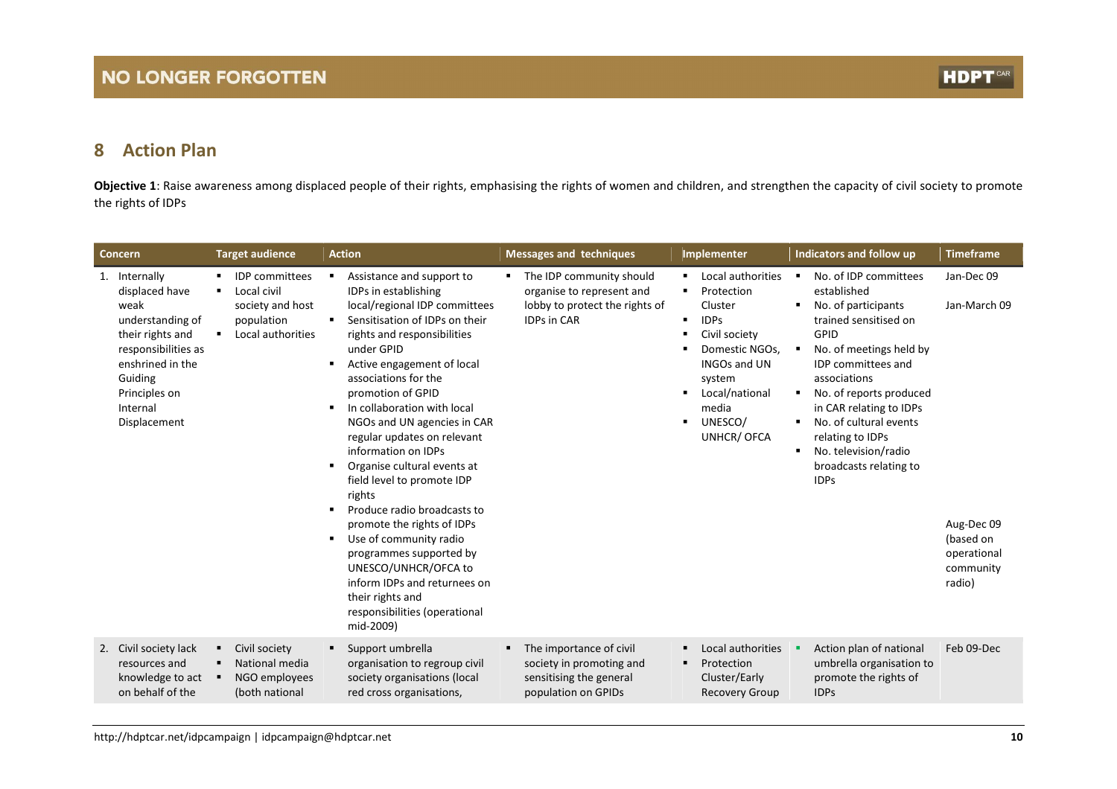#### 8Action Plan

**Objective 1**: Raise awareness among displaced people of their rights, emphasising the rights of women and children, and strengthen the capacity of civil society to promote the rights of IDPs

| Concern                                                                                                                                                                            | <b>Target audience</b>                                                                      | <b>Action</b>                                                                                                                                                                                                                                                                                                                                                                                                                                                                                                                                                                                                                                                                                           | <b>Messages and techniques</b>                                                                                | Implementer                                                                                                                                                                        | Indicators and follow up                                                                                                                                                                                                                                                                                                                  | <b>Timeframe</b>                                                                            |
|------------------------------------------------------------------------------------------------------------------------------------------------------------------------------------|---------------------------------------------------------------------------------------------|---------------------------------------------------------------------------------------------------------------------------------------------------------------------------------------------------------------------------------------------------------------------------------------------------------------------------------------------------------------------------------------------------------------------------------------------------------------------------------------------------------------------------------------------------------------------------------------------------------------------------------------------------------------------------------------------------------|---------------------------------------------------------------------------------------------------------------|------------------------------------------------------------------------------------------------------------------------------------------------------------------------------------|-------------------------------------------------------------------------------------------------------------------------------------------------------------------------------------------------------------------------------------------------------------------------------------------------------------------------------------------|---------------------------------------------------------------------------------------------|
| 1. Internally<br>displaced have<br>weak<br>understanding of<br>their rights and<br>responsibilities as<br>enshrined in the<br>Guiding<br>Principles on<br>Internal<br>Displacement | <b>IDP</b> committees<br>Local civil<br>society and host<br>population<br>Local authorities | Assistance and support to<br>٠<br>IDPs in establishing<br>local/regional IDP committees<br>Sensitisation of IDPs on their<br>٠<br>rights and responsibilities<br>under GPID<br>Active engagement of local<br>٠<br>associations for the<br>promotion of GPID<br>In collaboration with local<br>٠<br>NGOs and UN agencies in CAR<br>regular updates on relevant<br>information on IDPs<br>Organise cultural events at<br>field level to promote IDP<br>rights<br>Produce radio broadcasts to<br>promote the rights of IDPs<br>Use of community radio<br>programmes supported by<br>UNESCO/UNHCR/OFCA to<br>inform IDPs and returnees on<br>their rights and<br>responsibilities (operational<br>mid-2009) | The IDP community should<br>organise to represent and<br>lobby to protect the rights of<br><b>IDPs in CAR</b> | Local authorities<br>Protection<br>Cluster<br><b>IDPs</b><br>Civil society<br>Domestic NGOs,<br><b>INGOs and UN</b><br>system<br>Local/national<br>media<br>UNESCO/<br>UNHCR/ OFCA | No. of IDP committees<br>established<br>No. of participants<br>trained sensitised on<br>GPID<br>No. of meetings held by<br><b>IDP</b> committees and<br>associations<br>No. of reports produced<br>in CAR relating to IDPs<br>No. of cultural events<br>relating to IDPs<br>No. television/radio<br>broadcasts relating to<br><b>IDPs</b> | Jan-Dec 09<br>Jan-March 09<br>Aug-Dec 09<br>(based on<br>operational<br>community<br>radio) |
| 2. Civil society lack<br>resources and<br>knowledge to act<br>on behalf of the                                                                                                     | Civil society<br>National media<br>NGO employees<br>(both national                          | Support umbrella<br>organisation to regroup civil<br>society organisations (local<br>red cross organisations,                                                                                                                                                                                                                                                                                                                                                                                                                                                                                                                                                                                           | The importance of civil<br>٠<br>society in promoting and<br>sensitising the general<br>population on GPIDs    | Local authorities<br>Protection<br>٠<br>Cluster/Early<br><b>Recovery Group</b>                                                                                                     | Action plan of national<br>umbrella organisation to<br>promote the rights of<br><b>IDPs</b>                                                                                                                                                                                                                                               | Feb 09-Dec                                                                                  |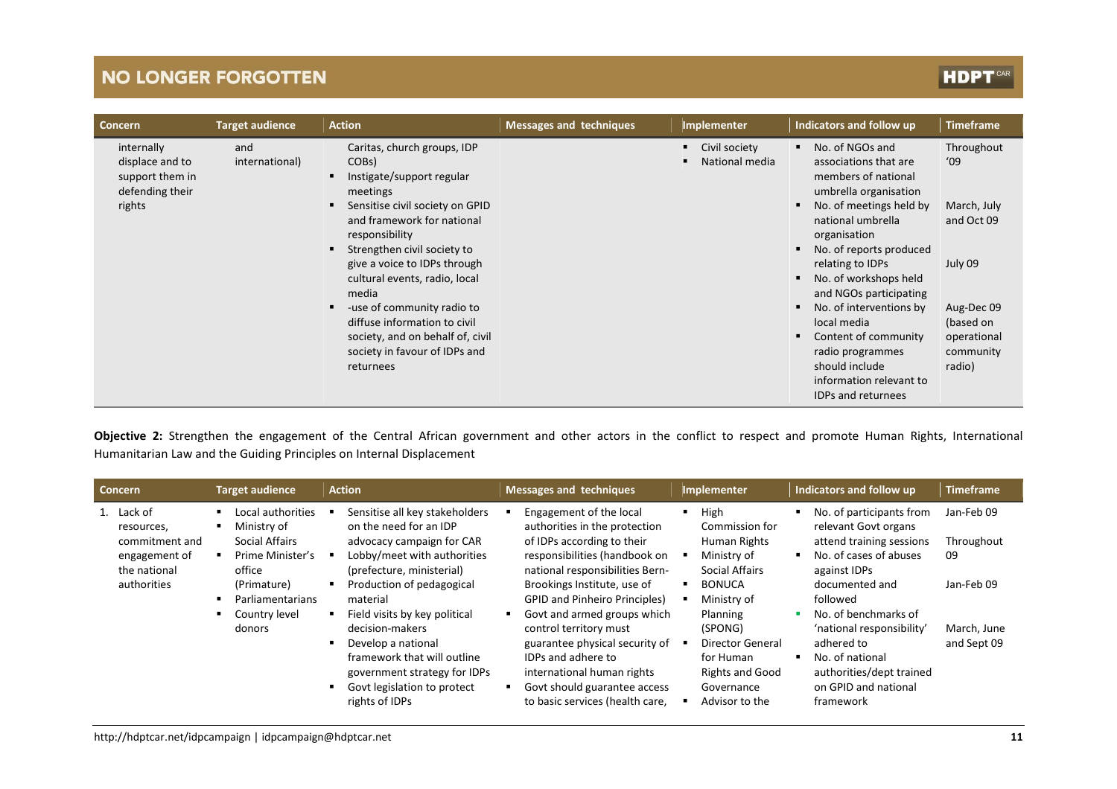# **HDPT**

| <b>Concern</b>                                                                | <b>Target audience</b> | <b>Action</b>                                                                                                                                                                                                                                                                                                                                                                                                                          | <b>Messages and techniques</b> | Implementer                               | Indicators and follow up                                                                                                                                                                                                                                                                                                                                                                                                   | <b>Timeframe</b>                                                                                                           |
|-------------------------------------------------------------------------------|------------------------|----------------------------------------------------------------------------------------------------------------------------------------------------------------------------------------------------------------------------------------------------------------------------------------------------------------------------------------------------------------------------------------------------------------------------------------|--------------------------------|-------------------------------------------|----------------------------------------------------------------------------------------------------------------------------------------------------------------------------------------------------------------------------------------------------------------------------------------------------------------------------------------------------------------------------------------------------------------------------|----------------------------------------------------------------------------------------------------------------------------|
| internally<br>displace and to<br>support them in<br>defending their<br>rights | and<br>international)  | Caritas, church groups, IDP<br>COB <sub>s</sub> )<br>Instigate/support regular<br>meetings<br>Sensitise civil society on GPID<br>and framework for national<br>responsibility<br>Strengthen civil society to<br>give a voice to IDPs through<br>cultural events, radio, local<br>media<br>-use of community radio to<br>diffuse information to civil<br>society, and on behalf of, civil<br>society in favour of IDPs and<br>returnees |                                | Civil society<br>٠<br>National media<br>п | No. of NGOs and<br>associations that are<br>members of national<br>umbrella organisation<br>No. of meetings held by<br>national umbrella<br>organisation<br>No. of reports produced<br>relating to IDPs<br>No. of workshops held<br>and NGOs participating<br>No. of interventions by<br>local media<br>Content of community<br>radio programmes<br>should include<br>information relevant to<br><b>IDPs and returnees</b> | Throughout<br>'09<br>March, July<br>and Oct 09<br>July 09<br>Aug-Dec 09<br>(based on<br>operational<br>community<br>radio) |

Objective 2: Strengthen the engagement of the Central African government and other actors in the conflict to respect and promote Human Rights, International Humanitarian Law and the Guiding Principles on Internal Displacement

| <b>Concern</b>                                                                             | <b>Target audience</b>                                                                                                                                | <b>Action</b>                                                                                                                                                                                                                                                                                                                                                                        | <b>Messages and techniques</b>                                                                                                                                                                                                                                                                                                                                                                                                                             | <b>Implementer</b>                                                                                                                                                                                                                                 | Indicators and follow up                                                                                                                                                                                                                                                                                    | <b>Timeframe</b>                                                           |
|--------------------------------------------------------------------------------------------|-------------------------------------------------------------------------------------------------------------------------------------------------------|--------------------------------------------------------------------------------------------------------------------------------------------------------------------------------------------------------------------------------------------------------------------------------------------------------------------------------------------------------------------------------------|------------------------------------------------------------------------------------------------------------------------------------------------------------------------------------------------------------------------------------------------------------------------------------------------------------------------------------------------------------------------------------------------------------------------------------------------------------|----------------------------------------------------------------------------------------------------------------------------------------------------------------------------------------------------------------------------------------------------|-------------------------------------------------------------------------------------------------------------------------------------------------------------------------------------------------------------------------------------------------------------------------------------------------------------|----------------------------------------------------------------------------|
| 1. Lack of<br>resources,<br>commitment and<br>engagement of<br>the national<br>authorities | Local authorities<br>Ministry of<br><b>Social Affairs</b><br>Prime Minister's<br>office<br>(Primature)<br>Parliamentarians<br>Country level<br>donors | Sensitise all key stakeholders<br>on the need for an IDP<br>advocacy campaign for CAR<br>Lobby/meet with authorities<br>(prefecture, ministerial)<br>Production of pedagogical<br>material<br>Field visits by key political<br>decision-makers<br>Develop a national<br>framework that will outline<br>government strategy for IDPs<br>Govt legislation to protect<br>rights of IDPs | Engagement of the local<br>authorities in the protection<br>of IDPs according to their<br>responsibilities (handbook on<br>national responsibilities Bern-<br>Brookings Institute, use of<br><b>GPID and Pinheiro Principles)</b><br>Govt and armed groups which<br>control territory must<br>guarantee physical security of<br><b>IDPs and adhere to</b><br>international human rights<br>Govt should guarantee access<br>to basic services (health care, | High<br>$\blacksquare$<br>Commission for<br>Human Rights<br>Ministry of<br><b>Social Affairs</b><br><b>BONUCA</b><br>Ministry of<br>Planning<br>(SPONG)<br>Director General<br>for Human<br><b>Rights and Good</b><br>Governance<br>Advisor to the | No. of participants from<br>relevant Govt organs<br>attend training sessions<br>No. of cases of abuses<br>against IDPs<br>documented and<br>followed<br>No. of benchmarks of<br>'national responsibility'<br>adhered to<br>No. of national<br>authorities/dept trained<br>on GPID and national<br>framework | Jan-Feb 09<br>Throughout<br>09<br>Jan-Feb 09<br>March, June<br>and Sept 09 |
|                                                                                            |                                                                                                                                                       |                                                                                                                                                                                                                                                                                                                                                                                      |                                                                                                                                                                                                                                                                                                                                                                                                                                                            |                                                                                                                                                                                                                                                    |                                                                                                                                                                                                                                                                                                             |                                                                            |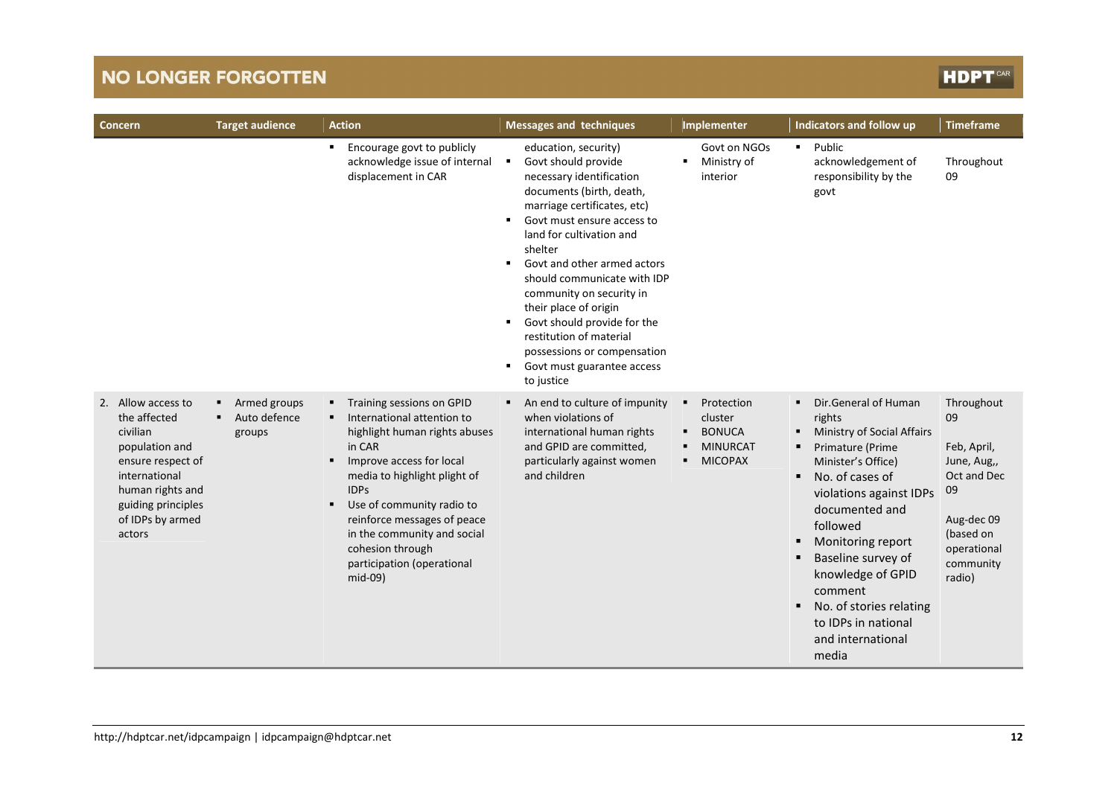# **HDPT**

| Concern                                                                                                                                                                        | <b>Target audience</b>                      | <b>Action</b>                                                                                                                                                                                                                                                                                                                                          | <b>Messages and techniques</b>                                                                                                                                                                                                                                                                                                                                                                                                                                                                                                  | Implementer                                                                                        | Indicators and follow up                                                                                                                                                                                                                                                                                                                                  | <b>Timeframe</b>                                                                                                                     |
|--------------------------------------------------------------------------------------------------------------------------------------------------------------------------------|---------------------------------------------|--------------------------------------------------------------------------------------------------------------------------------------------------------------------------------------------------------------------------------------------------------------------------------------------------------------------------------------------------------|---------------------------------------------------------------------------------------------------------------------------------------------------------------------------------------------------------------------------------------------------------------------------------------------------------------------------------------------------------------------------------------------------------------------------------------------------------------------------------------------------------------------------------|----------------------------------------------------------------------------------------------------|-----------------------------------------------------------------------------------------------------------------------------------------------------------------------------------------------------------------------------------------------------------------------------------------------------------------------------------------------------------|--------------------------------------------------------------------------------------------------------------------------------------|
|                                                                                                                                                                                |                                             | Encourage govt to publicly<br>٠<br>acknowledge issue of internal<br>displacement in CAR                                                                                                                                                                                                                                                                | education, security)<br>Govt should provide<br>$\blacksquare$<br>necessary identification<br>documents (birth, death,<br>marriage certificates, etc)<br>Govt must ensure access to<br>$\blacksquare$<br>land for cultivation and<br>shelter<br>Govt and other armed actors<br>$\blacksquare$<br>should communicate with IDP<br>community on security in<br>their place of origin<br>Govt should provide for the<br>٠<br>restitution of material<br>possessions or compensation<br>Govt must guarantee access<br>٠<br>to justice | Govt on NGOs<br>Ministry of<br>interior                                                            | • Public<br>acknowledgement of<br>responsibility by the<br>govt                                                                                                                                                                                                                                                                                           | Throughout<br>09                                                                                                                     |
| 2. Allow access to<br>the affected<br>civilian<br>population and<br>ensure respect of<br>international<br>human rights and<br>guiding principles<br>of IDPs by armed<br>actors | Armed groups<br>Auto defence<br>٠<br>groups | Training sessions on GPID<br>п.<br>International attention to<br>highlight human rights abuses<br>in CAR<br>Improve access for local<br>٠<br>media to highlight plight of<br><b>IDPs</b><br>Use of community radio to<br>п.<br>reinforce messages of peace<br>in the community and social<br>cohesion through<br>participation (operational<br>mid-09) | An end to culture of impunity<br>٠<br>when violations of<br>international human rights<br>and GPID are committed,<br>particularly against women<br>and children                                                                                                                                                                                                                                                                                                                                                                 | Protection<br>$\blacksquare$<br>cluster<br><b>BONUCA</b><br><b>MINURCAT</b><br><b>MICOPAX</b><br>п | • Dir.General of Human<br>rights<br>Ministry of Social Affairs<br>٠<br>Primature (Prime<br>Minister's Office)<br>No. of cases of<br>٠<br>violations against IDPs<br>documented and<br>followed<br>Monitoring report<br>Baseline survey of<br>knowledge of GPID<br>comment<br>No. of stories relating<br>to IDPs in national<br>and international<br>media | Throughout<br>09<br>Feb, April,<br>June, Aug.,<br>Oct and Dec<br>09<br>Aug-dec 09<br>(based on<br>operational<br>community<br>radio) |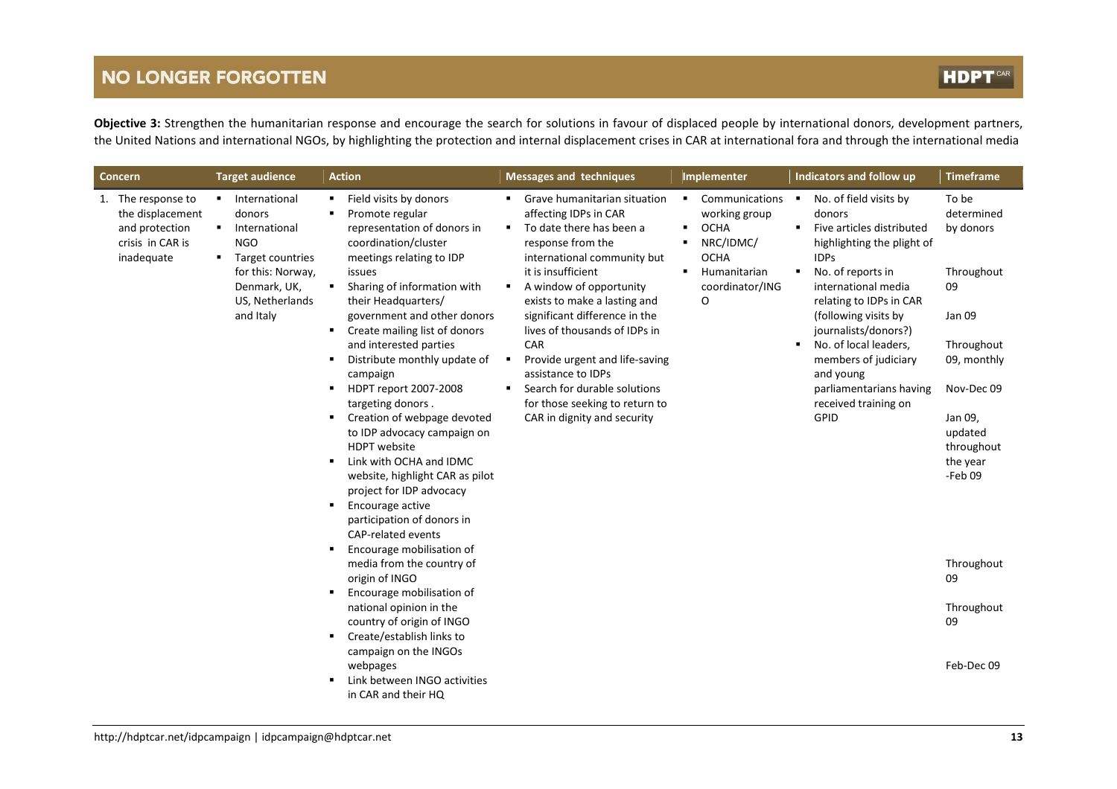Objective 3: Strengthen the humanitarian response and encourage the search for solutions in favour of displaced people by international donors, development partners, the United Nations and international NGOs, by highlighting the protection and internal displacement crises in CAR at international fora and through the international media

| Concern                                                                                    | <b>Target audience</b>                                                                                                                                | <b>Action</b>                                                                                                                                                                                                                                                                                                                                                                                                                                                                                                                                                                                                                                                                                                                                                                                                                                                                                                                                       | <b>Messages and techniques</b>                                                                                                                                                                                                                                                                                                                                                                                                                                                                 | Implementer                                                                                                               | Indicators and follow up                                                                                                                                                                                                                                                                                                                                               | <b>Timeframe</b>                                                                                                                                                                                                           |
|--------------------------------------------------------------------------------------------|-------------------------------------------------------------------------------------------------------------------------------------------------------|-----------------------------------------------------------------------------------------------------------------------------------------------------------------------------------------------------------------------------------------------------------------------------------------------------------------------------------------------------------------------------------------------------------------------------------------------------------------------------------------------------------------------------------------------------------------------------------------------------------------------------------------------------------------------------------------------------------------------------------------------------------------------------------------------------------------------------------------------------------------------------------------------------------------------------------------------------|------------------------------------------------------------------------------------------------------------------------------------------------------------------------------------------------------------------------------------------------------------------------------------------------------------------------------------------------------------------------------------------------------------------------------------------------------------------------------------------------|---------------------------------------------------------------------------------------------------------------------------|------------------------------------------------------------------------------------------------------------------------------------------------------------------------------------------------------------------------------------------------------------------------------------------------------------------------------------------------------------------------|----------------------------------------------------------------------------------------------------------------------------------------------------------------------------------------------------------------------------|
| 1. The response to<br>the displacement<br>and protection<br>crisis in CAR is<br>inadequate | International<br>donors<br>International<br><b>NGO</b><br>Target countries<br>٠.<br>for this: Norway,<br>Denmark, UK,<br>US, Netherlands<br>and Italy | Field visits by donors<br>Promote regular<br>representation of donors in<br>coordination/cluster<br>meetings relating to IDP<br>issues<br>Sharing of information with<br>٠<br>their Headquarters/<br>government and other donors<br>Create mailing list of donors<br>л.<br>and interested parties<br>Distribute monthly update of<br>campaign<br>HDPT report 2007-2008<br>٠<br>targeting donors.<br>Creation of webpage devoted<br>٠<br>to IDP advocacy campaign on<br><b>HDPT</b> website<br>Link with OCHA and IDMC<br>website, highlight CAR as pilot<br>project for IDP advocacy<br>Encourage active<br>٠<br>participation of donors in<br>CAP-related events<br>Encourage mobilisation of<br>٠<br>media from the country of<br>origin of INGO<br>Encourage mobilisation of<br>٠<br>national opinion in the<br>country of origin of INGO<br>Create/establish links to<br>٠<br>campaign on the INGOs<br>webpages<br>Link between INGO activities | Grave humanitarian situation<br>٠<br>affecting IDPs in CAR<br>To date there has been a<br>$\blacksquare$<br>response from the<br>international community but<br>it is insufficient<br>A window of opportunity<br>٠<br>exists to make a lasting and<br>significant difference in the<br>lives of thousands of IDPs in<br>CAR<br>Provide urgent and life-saving<br>٠<br>assistance to IDPs<br>Search for durable solutions<br>٠<br>for those seeking to return to<br>CAR in dignity and security | • Communications<br>working group<br><b>OCHA</b><br>NRC/IDMC/<br><b>OCHA</b><br>Humanitarian<br>٠<br>coordinator/ING<br>O | No. of field visits by<br>donors<br>Five articles distributed<br>٠<br>highlighting the plight of<br><b>IDPs</b><br>No. of reports in<br>international media<br>relating to IDPs in CAR<br>(following visits by<br>journalists/donors?)<br>No. of local leaders,<br>members of judiciary<br>and young<br>parliamentarians having<br>received training on<br><b>GPID</b> | To be<br>determined<br>by donors<br>Throughout<br>09<br>Jan 09<br>Throughout<br>09, monthly<br>Nov-Dec 09<br>Jan 09,<br>updated<br>throughout<br>the year<br>-Feb 09<br>Throughout<br>09<br>Throughout<br>09<br>Feb-Dec 09 |
|                                                                                            |                                                                                                                                                       | in CAR and their HQ                                                                                                                                                                                                                                                                                                                                                                                                                                                                                                                                                                                                                                                                                                                                                                                                                                                                                                                                 |                                                                                                                                                                                                                                                                                                                                                                                                                                                                                                |                                                                                                                           |                                                                                                                                                                                                                                                                                                                                                                        |                                                                                                                                                                                                                            |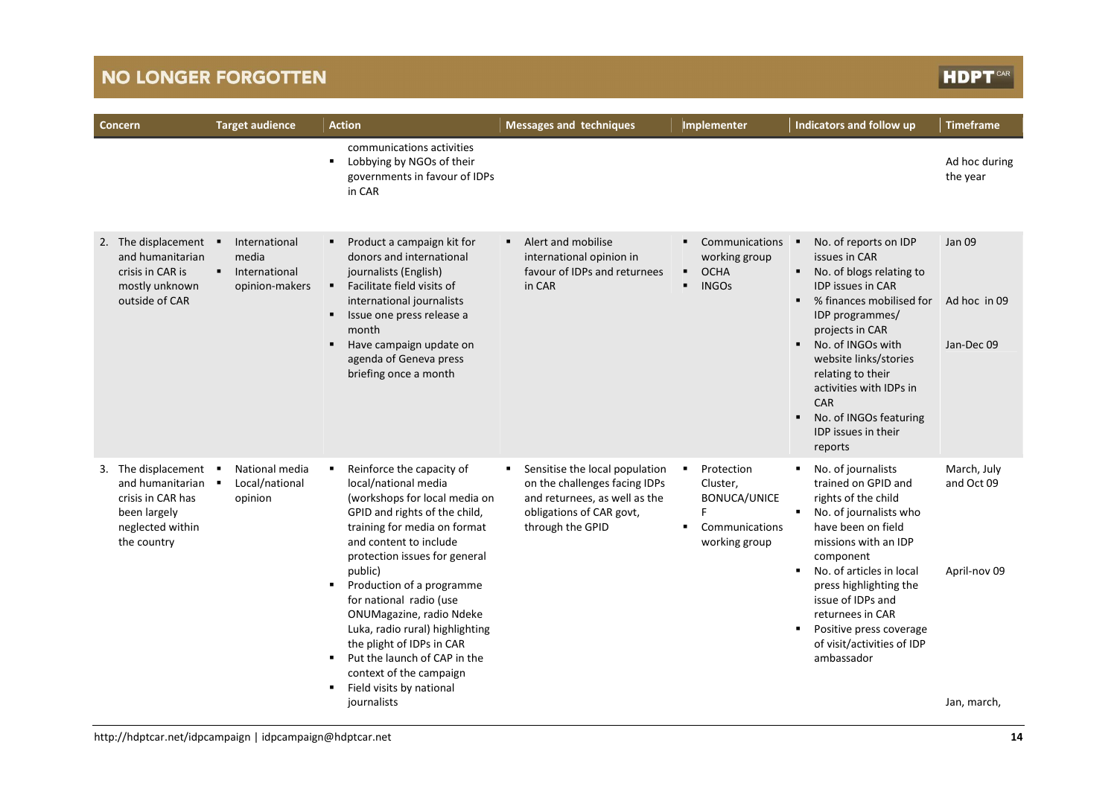## **HDPT**CAR

| <b>Concern</b>                                                                                                  | <b>Target audience</b>                                    | <b>Action</b>                                                                                                                                                                                                                                                                                                                                                                                                                                                                       | <b>Messages and techniques</b>                                                                                                                        | Implementer                                                                                | Indicators and follow up                                                                                                                                                                                                                                                                                                                                                                           | <b>Timeframe</b>                                         |
|-----------------------------------------------------------------------------------------------------------------|-----------------------------------------------------------|-------------------------------------------------------------------------------------------------------------------------------------------------------------------------------------------------------------------------------------------------------------------------------------------------------------------------------------------------------------------------------------------------------------------------------------------------------------------------------------|-------------------------------------------------------------------------------------------------------------------------------------------------------|--------------------------------------------------------------------------------------------|----------------------------------------------------------------------------------------------------------------------------------------------------------------------------------------------------------------------------------------------------------------------------------------------------------------------------------------------------------------------------------------------------|----------------------------------------------------------|
|                                                                                                                 |                                                           | communications activities<br>Lobbying by NGOs of their<br>п.<br>governments in favour of IDPs<br>in CAR                                                                                                                                                                                                                                                                                                                                                                             |                                                                                                                                                       |                                                                                            |                                                                                                                                                                                                                                                                                                                                                                                                    | Ad hoc during<br>the year                                |
| 2. The displacement<br>and humanitarian<br>crisis in CAR is<br>mostly unknown<br>outside of CAR                 | International<br>media<br>International<br>opinion-makers | Product a campaign kit for<br>donors and international<br>journalists (English)<br>Facilitate field visits of<br>٠<br>international journalists<br>Issue one press release a<br>٠<br>month<br>Have campaign update on<br>agenda of Geneva press<br>briefing once a month                                                                                                                                                                                                            | Alert and mobilise<br>$\blacksquare$<br>international opinion in<br>favour of IDPs and returnees<br>in CAR                                            | Communications<br>٠<br>working group<br><b>OCHA</b><br>٠<br><b>INGOs</b><br>$\blacksquare$ | No. of reports on IDP<br>٠<br>issues in CAR<br>No. of blogs relating to<br>$\blacksquare$<br><b>IDP issues in CAR</b><br>% finances mobilised for<br>$\blacksquare$<br>IDP programmes/<br>projects in CAR<br>No. of INGOs with<br>٠<br>website links/stories<br>relating to their<br>activities with IDPs in<br><b>CAR</b><br>No. of INGOs featuring<br>٠<br><b>IDP</b> issues in their<br>reports | <b>Jan 09</b><br>Ad hoc in 09<br>Jan-Dec 09              |
| 3. The displacement<br>and humanitarian<br>crisis in CAR has<br>been largely<br>neglected within<br>the country | National media<br>Local/national<br>opinion               | Reinforce the capacity of<br>local/national media<br>(workshops for local media on<br>GPID and rights of the child,<br>training for media on format<br>and content to include<br>protection issues for general<br>public)<br>Production of a programme<br>for national radio (use<br>ONUMagazine, radio Ndeke<br>Luka, radio rural) highlighting<br>the plight of IDPs in CAR<br>Put the launch of CAP in the<br>context of the campaign<br>Field visits by national<br>journalists | Sensitise the local population<br>٠<br>on the challenges facing IDPs<br>and returnees, as well as the<br>obligations of CAR govt,<br>through the GPID | Protection<br>٠<br>Cluster,<br><b>BONUCA/UNICE</b><br>F<br>Communications<br>working group | No. of journalists<br>л.<br>trained on GPID and<br>rights of the child<br>No. of journalists who<br>$\blacksquare$<br>have been on field<br>missions with an IDP<br>component<br>No. of articles in local<br>$\blacksquare$<br>press highlighting the<br>issue of IDPs and<br>returnees in CAR<br>Positive press coverage<br>٠<br>of visit/activities of IDP<br>ambassador                         | March, July<br>and Oct 09<br>April-nov 09<br>Jan, march, |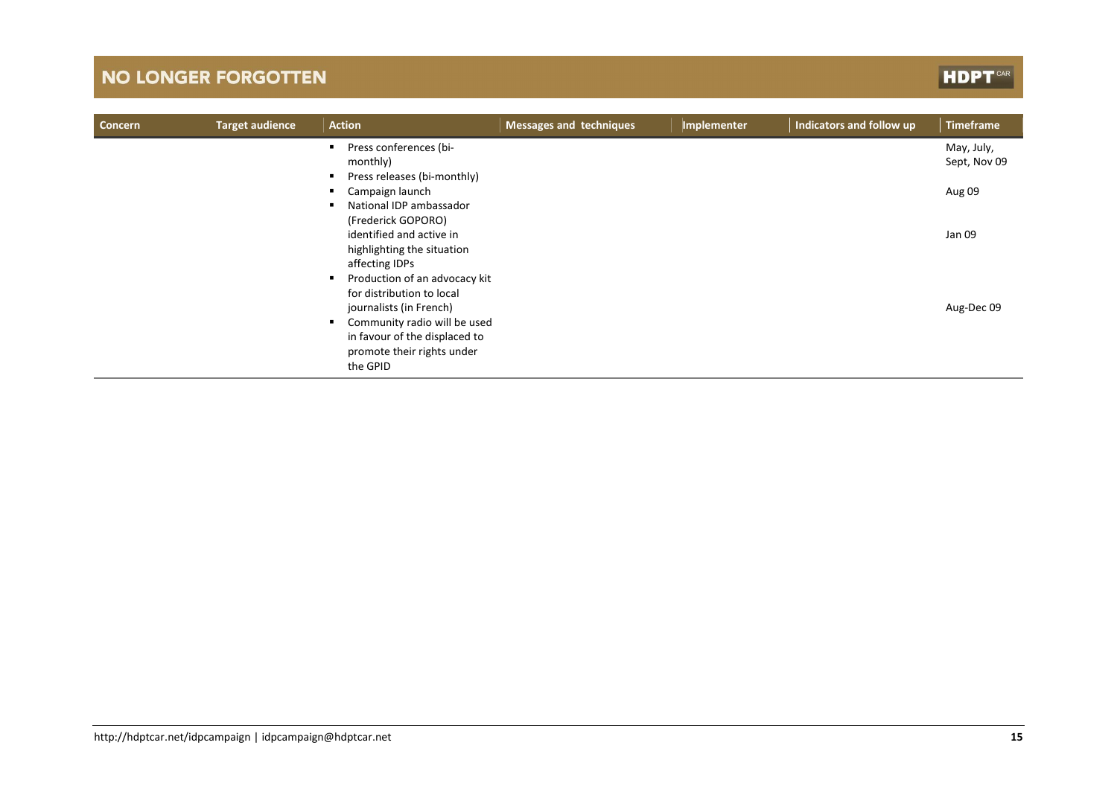# **HDPT**CAR

| Concern | <b>Target audience</b> | <b>Action</b>                                                                                                              | <b>Messages and techniques</b> | Implementer | Indicators and follow up | <b>Timeframe</b>           |
|---------|------------------------|----------------------------------------------------------------------------------------------------------------------------|--------------------------------|-------------|--------------------------|----------------------------|
|         |                        | Press conferences (bi-<br>monthly)<br>Press releases (bi-monthly)                                                          |                                |             |                          | May, July,<br>Sept, Nov 09 |
|         |                        | Campaign launch<br>National IDP ambassador<br>(Frederick GOPORO)                                                           |                                |             |                          | Aug 09                     |
|         |                        | identified and active in<br>highlighting the situation<br>affecting IDPs<br>$\blacksquare$                                 |                                |             |                          | Jan 09                     |
|         |                        | Production of an advocacy kit<br>for distribution to local<br>journalists (in French)<br>Community radio will be used<br>٠ |                                |             |                          | Aug-Dec 09                 |
|         |                        | in favour of the displaced to<br>promote their rights under<br>the GPID                                                    |                                |             |                          |                            |